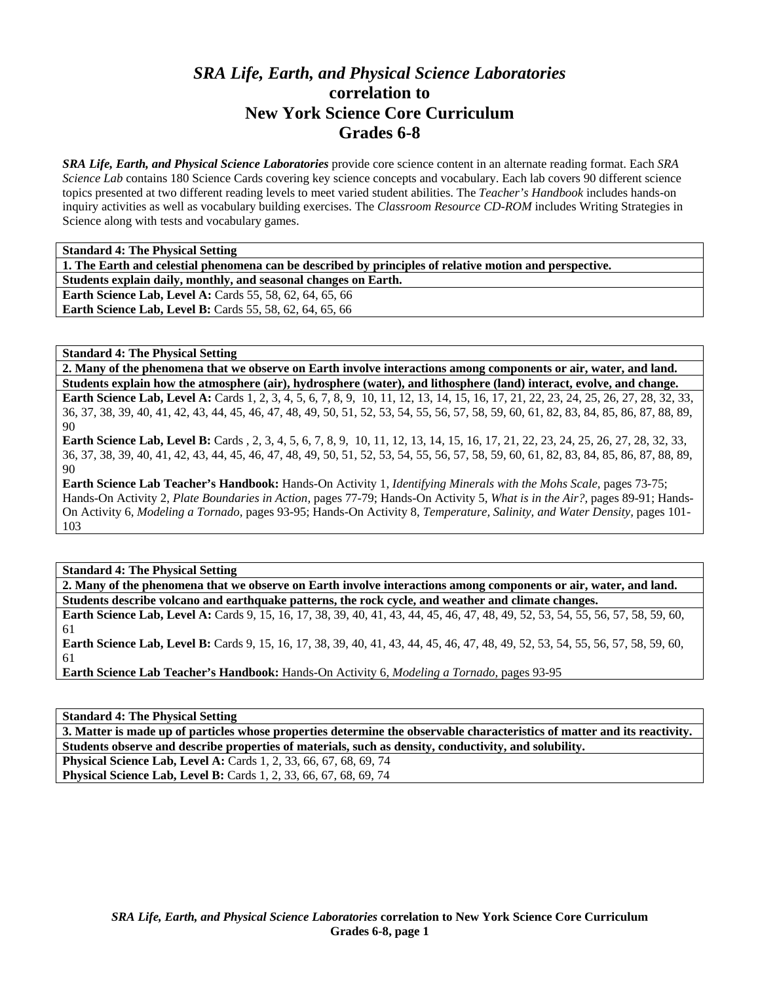## *SRA Life, Earth, and Physical Science Laboratories* **correlation to New York Science Core Curriculum Grades 6-8**

*SRA Life, Earth, and Physical Science Laboratories* provide core science content in an alternate reading format. Each *SRA Science Lab* contains 180 Science Cards covering key science concepts and vocabulary. Each lab covers 90 different science topics presented at two different reading levels to meet varied student abilities. The *Teacher's Handbook* includes hands-on inquiry activities as well as vocabulary building exercises. The *Classroom Resource CD-ROM* includes Writing Strategies in Science along with tests and vocabulary games.

| <b>Standard 4: The Physical Setting</b>                                                                 |
|---------------------------------------------------------------------------------------------------------|
| 1. The Earth and celestial phenomena can be described by principles of relative motion and perspective. |
| Students explain daily, monthly, and seasonal changes on Earth.                                         |
| <b>Earth Science Lab, Level A: Cards 55, 58, 62, 64, 65, 66</b>                                         |
| <b>Earth Science Lab, Level B:</b> Cards 55, 58, 62, 64, 65, 66                                         |

**Standard 4: The Physical Setting** 

**2. Many of the phenomena that we observe on Earth involve interactions among components or air, water, and land. Students explain how the atmosphere (air), hydrosphere (water), and lithosphere (land) interact, evolve, and change.** 

**Earth Science Lab, Level A:** Cards 1, 2, 3, 4, 5, 6, 7, 8, 9, 10, 11, 12, 13, 14, 15, 16, 17, 21, 22, 23, 24, 25, 26, 27, 28, 32, 33, 36, 37, 38, 39, 40, 41, 42, 43, 44, 45, 46, 47, 48, 49, 50, 51, 52, 53, 54, 55, 56, 57, 58, 59, 60, 61, 82, 83, 84, 85, 86, 87, 88, 89, 90

**Earth Science Lab, Level B:** Cards , 2, 3, 4, 5, 6, 7, 8, 9, 10, 11, 12, 13, 14, 15, 16, 17, 21, 22, 23, 24, 25, 26, 27, 28, 32, 33, 36, 37, 38, 39, 40, 41, 42, 43, 44, 45, 46, 47, 48, 49, 50, 51, 52, 53, 54, 55, 56, 57, 58, 59, 60, 61, 82, 83, 84, 85, 86, 87, 88, 89,  $9<sub>0</sub>$ 

**Earth Science Lab Teacher's Handbook:** Hands-On Activity 1, *Identifying Minerals with the Mohs Scale,* pages 73-75; Hands-On Activity 2, *Plate Boundaries in Action,* pages 77-79; Hands-On Activity 5, *What is in the Air?,* pages 89-91; Hands-On Activity 6, *Modeling a Tornado,* pages 93-95; Hands-On Activity 8, *Temperature, Salinity, and Water Density,* pages 101- 103

**Standard 4: The Physical Setting** 

**2. Many of the phenomena that we observe on Earth involve interactions among components or air, water, and land. Students describe volcano and earthquake patterns, the rock cycle, and weather and climate changes.** 

Earth Science Lab, Level A: Cards 9, 15, 16, 17, 38, 39, 40, 41, 43, 44, 45, 46, 47, 48, 49, 52, 53, 54, 55, 56, 57, 58, 59, 60, 61

**Earth Science Lab, Level B:** Cards 9, 15, 16, 17, 38, 39, 40, 41, 43, 44, 45, 46, 47, 48, 49, 52, 53, 54, 55, 56, 57, 58, 59, 60, 61

**Earth Science Lab Teacher's Handbook:** Hands-On Activity 6, *Modeling a Tornado,* pages 93-95

**Standard 4: The Physical Setting** 

**3. Matter is made up of particles whose properties determine the observable characteristics of matter and its reactivity. Students observe and describe properties of materials, such as density, conductivity, and solubility.** 

**Physical Science Lab, Level A: Cards 1, 2, 33, 66, 67, 68, 69, 74 Physical Science Lab, Level B:** Cards 1, 2, 33, 66, 67, 68, 69, 74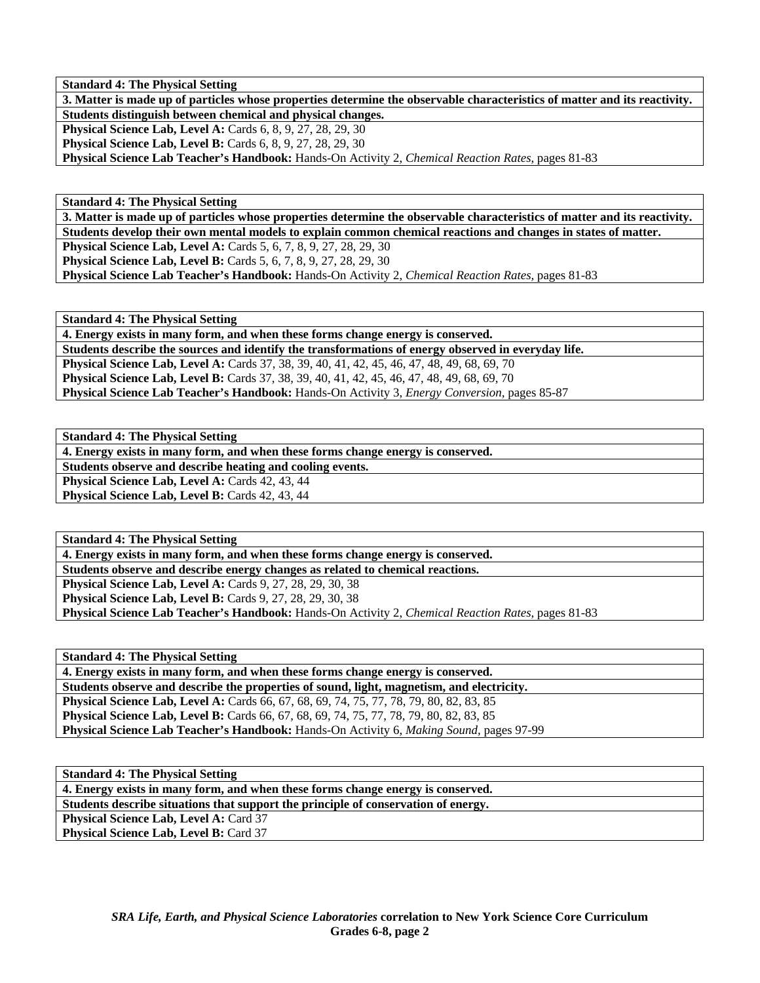**Standard 4: The Physical Setting** 

**3. Matter is made up of particles whose properties determine the observable characteristics of matter and its reactivity. Students distinguish between chemical and physical changes. Physical Science Lab, Level A: Cards 6, 8, 9, 27, 28, 29, 30 Physical Science Lab, Level B:** Cards 6, 8, 9, 27, 28, 29, 30 **Physical Science Lab Teacher's Handbook:** Hands-On Activity 2, *Chemical Reaction Rates,* pages 81-83

**Standard 4: The Physical Setting** 

**3. Matter is made up of particles whose properties determine the observable characteristics of matter and its reactivity. Students develop their own mental models to explain common chemical reactions and changes in states of matter. Physical Science Lab, Level A:** Cards 5, 6, 7, 8, 9, 27, 28, 29, 30 **Physical Science Lab, Level B:** Cards 5, 6, 7, 8, 9, 27, 28, 29, 30 **Physical Science Lab Teacher's Handbook:** Hands-On Activity 2, *Chemical Reaction Rates,* pages 81-83

**Standard 4: The Physical Setting** 

**4. Energy exists in many form, and when these forms change energy is conserved. Students describe the sources and identify the transformations of energy observed in everyday life. Physical Science Lab, Level A:** Cards 37, 38, 39, 40, 41, 42, 45, 46, 47, 48, 49, 68, 69, 70 **Physical Science Lab, Level B:** Cards 37, 38, 39, 40, 41, 42, 45, 46, 47, 48, 49, 68, 69, 70 **Physical Science Lab Teacher's Handbook:** Hands-On Activity 3, *Energy Conversion,* pages 85-87

**Standard 4: The Physical Setting** 

**4. Energy exists in many form, and when these forms change energy is conserved.** 

**Students observe and describe heating and cooling events.** 

Physical Science Lab, Level A: Cards 42, 43, 44 **Physical Science Lab, Level B: Cards 42, 43, 44** 

**Standard 4: The Physical Setting** 

**4. Energy exists in many form, and when these forms change energy is conserved.** 

**Students observe and describe energy changes as related to chemical reactions.** 

**Physical Science Lab, Level A: Cards 9, 27, 28, 29, 30, 38 Physical Science Lab, Level B:** Cards 9, 27, 28, 29, 30, 38

**Physical Science Lab Teacher's Handbook:** Hands-On Activity 2, *Chemical Reaction Rates,* pages 81-83

**Standard 4: The Physical Setting** 

**4. Energy exists in many form, and when these forms change energy is conserved. Students observe and describe the properties of sound, light, magnetism, and electricity. Physical Science Lab, Level A:** Cards 66, 67, 68, 69, 74, 75, 77, 78, 79, 80, 82, 83, 85 **Physical Science Lab, Level B:** Cards 66, 67, 68, 69, 74, 75, 77, 78, 79, 80, 82, 83, 85 **Physical Science Lab Teacher's Handbook:** Hands-On Activity 6, *Making Sound,* pages 97-99

**Standard 4: The Physical Setting** 

**4. Energy exists in many form, and when these forms change energy is conserved.** 

**Students describe situations that support the principle of conservation of energy.** 

Physical Science Lab, Level A: Card 37 **Physical Science Lab, Level B: Card 37**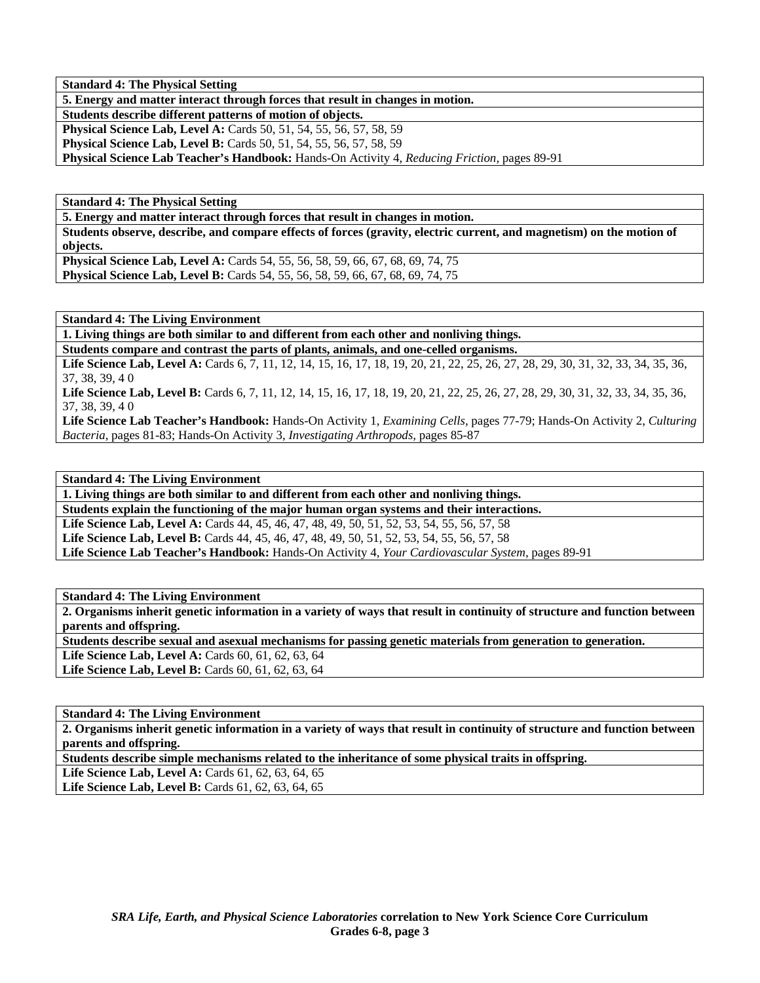**Standard 4: The Physical Setting** 

**5. Energy and matter interact through forces that result in changes in motion.** 

**Students describe different patterns of motion of objects.** 

**Physical Science Lab, Level A:** Cards 50, 51, 54, 55, 56, 57, 58, 59

**Physical Science Lab, Level B:** Cards 50, 51, 54, 55, 56, 57, 58, 59

**Physical Science Lab Teacher's Handbook:** Hands-On Activity 4, *Reducing Friction,* pages 89-91

**Standard 4: The Physical Setting** 

**5. Energy and matter interact through forces that result in changes in motion.** 

**Students observe, describe, and compare effects of forces (gravity, electric current, and magnetism) on the motion of objects.** 

**Physical Science Lab, Level A: Cards 54, 55, 56, 58, 59, 66, 67, 68, 69, 74, 75 Physical Science Lab, Level B:** Cards 54, 55, 56, 58, 59, 66, 67, 68, 69, 74, 75

**Standard 4: The Living Environment** 

**1. Living things are both similar to and different from each other and nonliving things.** 

**Students compare and contrast the parts of plants, animals, and one-celled organisms.** 

Life Science Lab, Level A: Cards 6, 7, 11, 12, 14, 15, 16, 17, 18, 19, 20, 21, 22, 25, 26, 27, 28, 29, 30, 31, 32, 33, 34, 35, 36, 37, 38, 39, 4 0

Life Science Lab, Level B: Cards 6, 7, 11, 12, 14, 15, 16, 17, 18, 19, 20, 21, 22, 25, 26, 27, 28, 29, 30, 31, 32, 33, 34, 35, 36, 37, 38, 39, 4 0

**Life Science Lab Teacher's Handbook:** Hands-On Activity 1, *Examining Cells,* pages 77-79; Hands-On Activity 2, *Culturing Bacteria,* pages 81-83; Hands-On Activity 3, *Investigating Arthropods,* pages 85-87

**Standard 4: The Living Environment** 

**1. Living things are both similar to and different from each other and nonliving things. Students explain the functioning of the major human organ systems and their interactions. Life Science Lab, Level A:** Cards 44, 45, 46, 47, 48, 49, 50, 51, 52, 53, 54, 55, 56, 57, 58 **Life Science Lab, Level B:** Cards 44, 45, 46, 47, 48, 49, 50, 51, 52, 53, 54, 55, 56, 57, 58 **Life Science Lab Teacher's Handbook:** Hands-On Activity 4, *Your Cardiovascular System,* pages 89-91

**Standard 4: The Living Environment** 

**2. Organisms inherit genetic information in a variety of ways that result in continuity of structure and function between parents and offspring.** 

**Students describe sexual and asexual mechanisms for passing genetic materials from generation to generation.** 

**Life Science Lab, Level A: Cards 60, 61, 62, 63, 64** 

Life Science Lab, Level B: Cards 60, 61, 62, 63, 64

**Standard 4: The Living Environment** 

**2. Organisms inherit genetic information in a variety of ways that result in continuity of structure and function between parents and offspring.** 

**Students describe simple mechanisms related to the inheritance of some physical traits in offspring.** 

Life Science Lab, Level A: Cards 61, 62, 63, 64, 65

**Life Science Lab, Level B:** Cards 61, 62, 63, 64, 65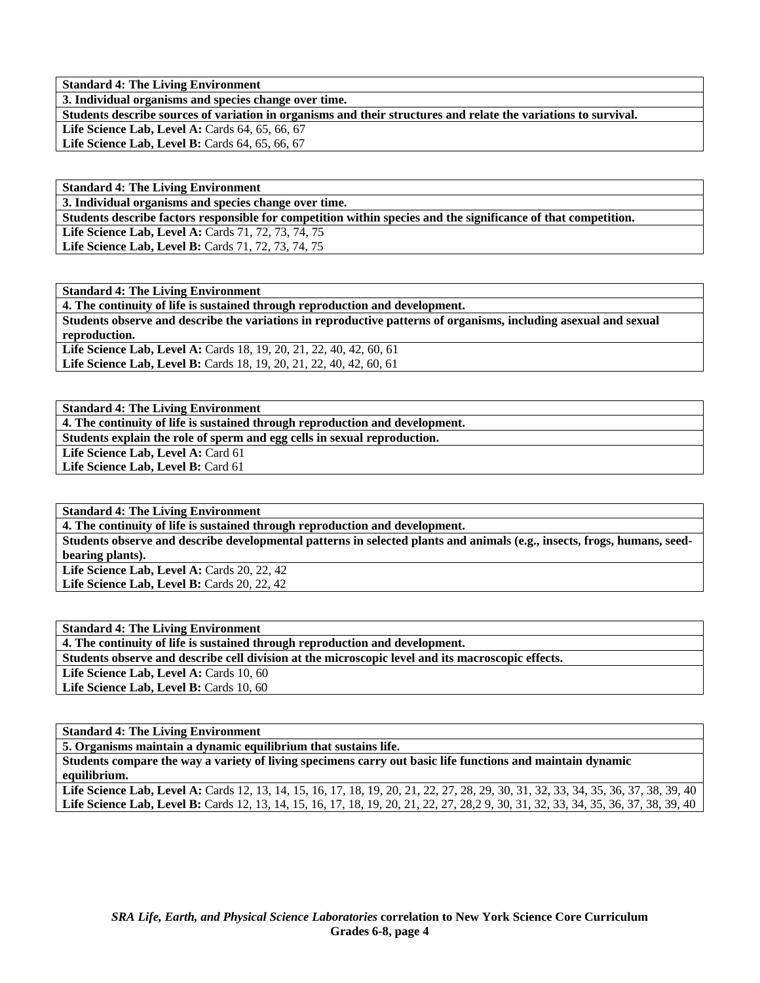**Standard 4: The Living Environment** 

**3. Individual organisms and species change over time.** 

**Students describe sources of variation in organisms and their structures and relate the variations to survival.** 

Life Science Lab, Level A: Cards 64, 65, 66, 67

Life Science Lab, Level B: Cards 64, 65, 66, 67

| <b>Standard 4: The Living Environment</b>                                                                      |
|----------------------------------------------------------------------------------------------------------------|
| 3. Individual organisms and species change over time.                                                          |
| Students describe factors responsible for competition within species and the significance of that competition. |
| <b>Life Science Lab, Level A: Cards 71, 72, 73, 74, 75</b>                                                     |
| <b>Life Science Lab, Level B:</b> Cards 71, 72, 73, 74, 75                                                     |

**Standard 4: The Living Environment** 

**4. The continuity of life is sustained through reproduction and development. Students observe and describe the variations in reproductive patterns of organisms, including asexual and sexual reproduction.**  Life Science Lab, Level A: Cards 18, 19, 20, 21, 22, 40, 42, 60, 61 Life Science Lab, Level B: Cards 18, 19, 20, 21, 22, 40, 42, 60, 61

**Standard 4: The Living Environment** 

**4. The continuity of life is sustained through reproduction and development. Students explain the role of sperm and egg cells in sexual reproduction.**  Life Science Lab, Level A: Card 61 Life Science Lab, Level B: Card 61

**Standard 4: The Living Environment** 

**4. The continuity of life is sustained through reproduction and development.** 

**Students observe and describe developmental patterns in selected plants and animals (e.g., insects, frogs, humans, seedbearing plants). Life Science Lab, Level A: Cards 20, 22, 42** 

**Life Science Lab, Level B: Cards 20, 22, 42** 

**Standard 4: The Living Environment** 

**4. The continuity of life is sustained through reproduction and development.** 

**Students observe and describe cell division at the microscopic level and its macroscopic effects.** 

Life Science Lab, Level A: Cards 10, 60

Life Science Lab, Level B: Cards 10, 60

**Standard 4: The Living Environment** 

**5. Organisms maintain a dynamic equilibrium that sustains life.** 

**Students compare the way a variety of living specimens carry out basic life functions and maintain dynamic equilibrium.** 

Life Science Lab, Level A: Cards 12, 13, 14, 15, 16, 17, 18, 19, 20, 21, 22, 27, 28, 29, 30, 31, 32, 33, 34, 35, 36, 37, 38, 39, 40 Life Science Lab, Level B: Cards 12, 13, 14, 15, 16, 17, 18, 19, 20, 21, 22, 27, 28, 29, 30, 31, 32, 33, 34, 35, 36, 37, 38, 39, 40